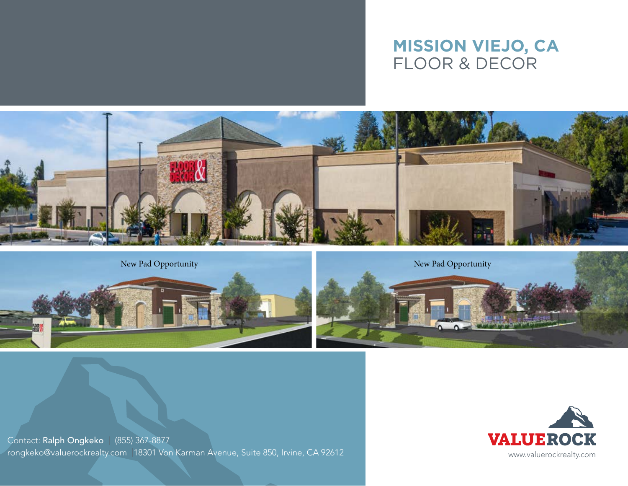## **mission viejo, CA** Floor & Decor







Contact: Ralph Ongkeko | (855) 367-8877 rongkeko@valuerockrealty.com | 18301 Von Karman Avenue, Suite 850, Irvine, CA 92612 Www.valuerockrealty.com www.valuerockrealty.com

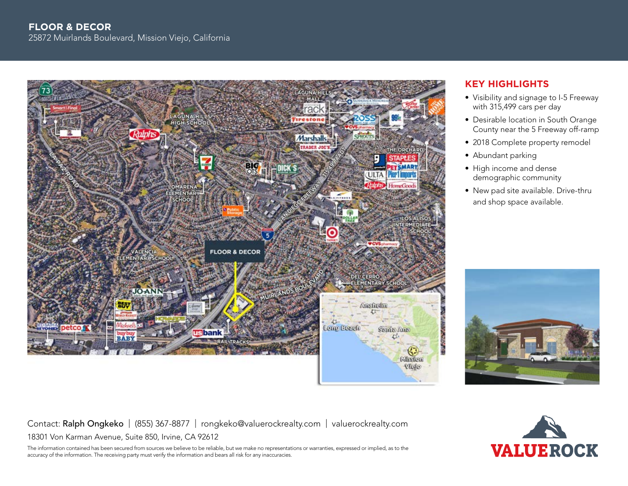

Contact: Ralph Ongkeko | (855) 367-8877 | rongkeko@valuerockrealty.com | valuerockrealty.com 18301 Von Karman Avenue, Suite 850, Irvine, CA 92612

The information contained has been secured from sources we believe to be reliable, but we make no representations or warranties, expressed or implied, as to the accuracy of the information. The receiving party must verify the information and bears all risk for any inaccuracies.

## **Key Highlights**

- Visibility and signage to I-5 Freeway with 315,499 cars per day
- Desirable location in South Orange County near the 5 Freeway off-ramp
- 2018 Complete property remodel
- Abundant parking
- High income and dense demographic community
- New pad site available. Drive-thru and shop space available.



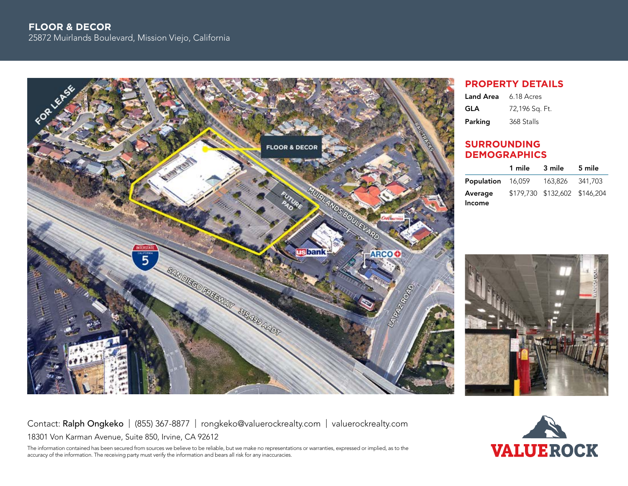

## **property details**

| <b>Land Area</b> | 6.18 Acres     |
|------------------|----------------|
| GLA              | 72,196 Sq. Ft. |
| Parking          | 368 Stalls     |

## **Surrounding demographics**

|                          | 1 mile | 3 mile                        | 5 mile |
|--------------------------|--------|-------------------------------|--------|
| <b>Population</b> 16,059 |        | 163.826 341.703               |        |
| Average                  |        | \$179,730 \$132,602 \$146,204 |        |
| Income                   |        |                               |        |



Contact: Ralph Ongkeko | (855) 367-8877 | rongkeko@valuerockrealty.com | valuerockrealty.com 18301 Von Karman Avenue, Suite 850, Irvine, CA 92612

The information contained has been secured from sources we believe to be reliable, but we make no representations or warranties, expressed or implied, as to the accuracy of the information. The receiving party must verify the information and bears all risk for any inaccuracies.